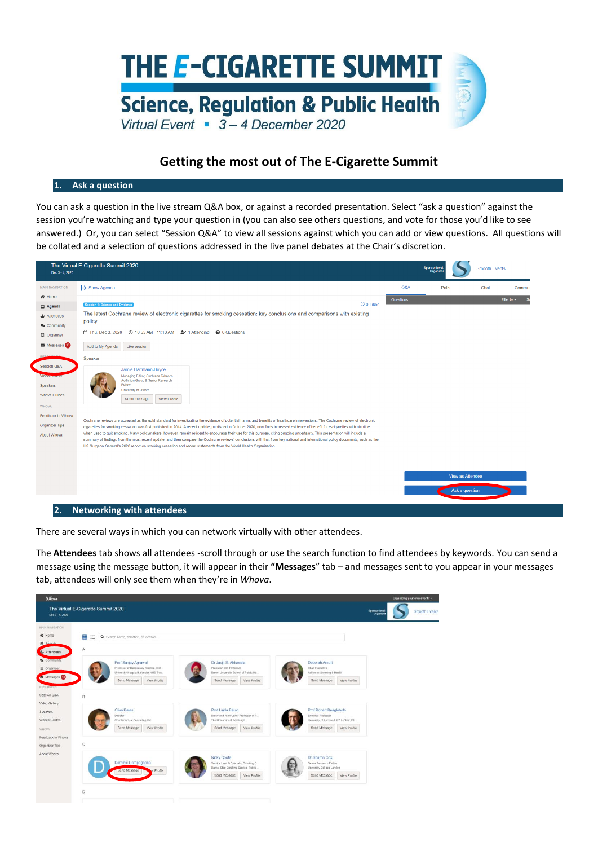

## **Getting the most out of The E-Cigarette Summit**

## **1. Ask a question**

You can ask a question in the live stream Q&A box, or against a recorded presentation. Select "ask a question" against the session you're watching and type your question in (you can also see others questions, and vote for those you'd like to see answered.) Or, you can select "Session Q&A" to view all sessions against which you can add or view questions. All questions will be collated and a selection of questions addressed in the live panel debates at the Chair's discretion.

| Dec 3 - 4, 2020                                                                  | The Virtual E-Cigarette Summit 2020                                                                                                                                                                                                                                                                                                                                                                                                                                                                                                                                                                                                                                                                                                                                                                                                                        |           | <b>Sponsor leve</b><br>Organise | <b>Smooth Events</b> |                  |
|----------------------------------------------------------------------------------|------------------------------------------------------------------------------------------------------------------------------------------------------------------------------------------------------------------------------------------------------------------------------------------------------------------------------------------------------------------------------------------------------------------------------------------------------------------------------------------------------------------------------------------------------------------------------------------------------------------------------------------------------------------------------------------------------------------------------------------------------------------------------------------------------------------------------------------------------------|-----------|---------------------------------|----------------------|------------------|
| <b>MAIN NAVIGATION</b>                                                           | $\rightarrow$ Show Agenda                                                                                                                                                                                                                                                                                                                                                                                                                                                                                                                                                                                                                                                                                                                                                                                                                                  | Q&A       | Polls                           | Chat                 | Commur           |
| 备 Home                                                                           |                                                                                                                                                                                                                                                                                                                                                                                                                                                                                                                                                                                                                                                                                                                                                                                                                                                            | Questions |                                 |                      | Filter by $\sim$ |
| <b>台 Agenda</b>                                                                  | $O$ 0 Likes<br>Session 1: Science and Evidence                                                                                                                                                                                                                                                                                                                                                                                                                                                                                                                                                                                                                                                                                                                                                                                                             |           |                                 |                      |                  |
| 음 Attendees<br><b>Q</b> Community                                                | The latest Cochrane review of electronic cigarettes for smoking cessation: key conclusions and comparisons with existing<br>policy                                                                                                                                                                                                                                                                                                                                                                                                                                                                                                                                                                                                                                                                                                                         |           |                                 |                      |                  |
| <b>III</b> Organiser                                                             | <sup>0</sup> 0 Questions                                                                                                                                                                                                                                                                                                                                                                                                                                                                                                                                                                                                                                                                                                                                                                                                                                   |           |                                 |                      |                  |
| Messages <sup>18</sup>                                                           | Add to My Agenda<br>Like session                                                                                                                                                                                                                                                                                                                                                                                                                                                                                                                                                                                                                                                                                                                                                                                                                           |           |                                 |                      |                  |
| Session Q&A                                                                      | Speaker                                                                                                                                                                                                                                                                                                                                                                                                                                                                                                                                                                                                                                                                                                                                                                                                                                                    |           |                                 |                      |                  |
| <b>Video Gallery</b><br><b>Speakers</b><br><b>Whova Guides</b>                   | Jamie Hartmann-Boyce<br>Managing Editor, Cochrane Tobacco<br>Addiction Group & Senior Research<br>Fellow<br>University of Oxford<br>View Profile<br>Send message                                                                                                                                                                                                                                                                                                                                                                                                                                                                                                                                                                                                                                                                                           |           |                                 |                      |                  |
| <b>WHOVA</b><br>Feedback to Whova<br><b>Organizer Tips</b><br><b>About Whova</b> | Cochrane reviews are accepted as the gold-standard for investigating the evidence of potential harms and benefits of healthcare interventions. The Cochrane review of electronic<br>cigarettes for smoking cessation was first published in 2014. A recent update, published in October 2020, now finds increased evidence of benefit for e-cigarettes with nicotine<br>when used to quit smoking. Many policymakers, however, remain reticent to encourage their use for this purpose, citing ongoing uncertainty. This presentation will include a<br>summary of findings from the most recent update, and then compare the Cochrane reviews' conclusions with that from key national and international policy documents, such as the<br>US Surgeon General's 2020 report on smoking cessation and recent statements from the World Health Organisation. |           |                                 |                      |                  |
|                                                                                  |                                                                                                                                                                                                                                                                                                                                                                                                                                                                                                                                                                                                                                                                                                                                                                                                                                                            |           |                                 | View as Attendee     |                  |
|                                                                                  |                                                                                                                                                                                                                                                                                                                                                                                                                                                                                                                                                                                                                                                                                                                                                                                                                                                            |           | Ask a question                  |                      |                  |

There are several ways in which you can network virtually with other attendees.

The **Attendees** tab shows all attendees -scroll through or use the search function to find attendees by keywords. You can send a message using the message button, it will appear in their **"Messages**" tab – and messages sent to you appear in your messages tab, attendees will only see them when they're in *Whova*.